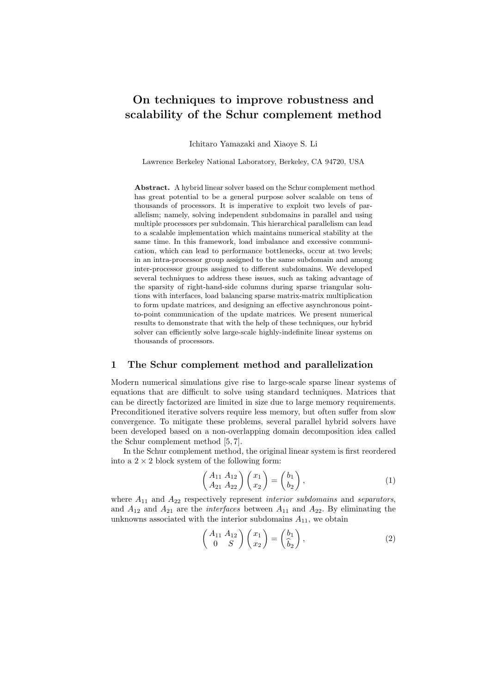# On techniques to improve robustness and scalability of the Schur complement method

Ichitaro Yamazaki and Xiaoye S. Li

Lawrence Berkeley National Laboratory, Berkeley, CA 94720, USA

Abstract. A hybrid linear solver based on the Schur complement method has great potential to be a general purpose solver scalable on tens of thousands of processors. It is imperative to exploit two levels of parallelism; namely, solving independent subdomains in parallel and using multiple processors per subdomain. This hierarchical parallelism can lead to a scalable implementation which maintains numerical stability at the same time. In this framework, load imbalance and excessive communication, which can lead to performance bottlenecks, occur at two levels; in an intra-processor group assigned to the same subdomain and among inter-processor groups assigned to different subdomains. We developed several techniques to address these issues, such as taking advantage of the sparsity of right-hand-side columns during sparse triangular solutions with interfaces, load balancing sparse matrix-matrix multiplication to form update matrices, and designing an effective asynchronous pointto-point communication of the update matrices. We present numerical results to demonstrate that with the help of these techniques, our hybrid solver can efficiently solve large-scale highly-indefinite linear systems on thousands of processors.

### 1 The Schur complement method and parallelization

Modern numerical simulations give rise to large-scale sparse linear systems of equations that are difficult to solve using standard techniques. Matrices that can be directly factorized are limited in size due to large memory requirements. Preconditioned iterative solvers require less memory, but often suffer from slow convergence. To mitigate these problems, several parallel hybrid solvers have been developed based on a non-overlapping domain decomposition idea called the Schur complement method [5, 7].

In the Schur complement method, the original linear system is first reordered into a  $2 \times 2$  block system of the following form:

$$
\begin{pmatrix} A_{11} & A_{12} \\ A_{21} & A_{22} \end{pmatrix} \begin{pmatrix} x_1 \\ x_2 \end{pmatrix} = \begin{pmatrix} b_1 \\ b_2 \end{pmatrix}, \tag{1}
$$

where  $A_{11}$  and  $A_{22}$  respectively represent *interior subdomains* and *separators*, and  $A_{12}$  and  $A_{21}$  are the *interfaces* between  $A_{11}$  and  $A_{22}$ . By eliminating the unknowns associated with the interior subdomains  $A_{11}$ , we obtain

$$
\begin{pmatrix} A_{11} & A_{12} \\ 0 & S \end{pmatrix} \begin{pmatrix} x_1 \\ x_2 \end{pmatrix} = \begin{pmatrix} b_1 \\ \hat{b}_2 \end{pmatrix},
$$
\n(2)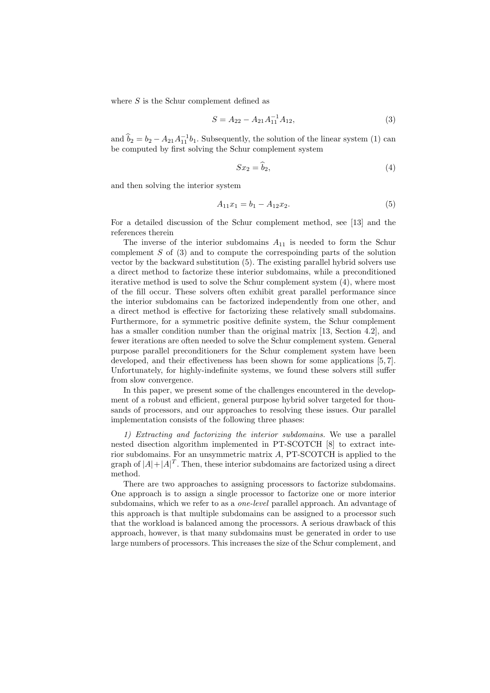where  $S$  is the Schur complement defined as

$$
S = A_{22} - A_{21}A_{11}^{-1}A_{12}, \t\t(3)
$$

and  $\hat{b}_2 = b_2 - A_{21}A_{11}^{-1}b_1$ . Subsequently, the solution of the linear system (1) can be computed by first solving the Schur complement system

$$
Sx_2 = \tilde{b}_2,\tag{4}
$$

and then solving the interior system

$$
A_{11}x_1 = b_1 - A_{12}x_2. \tag{5}
$$

For a detailed discussion of the Schur complement method, see [13] and the references therein

The inverse of the interior subdomains  $A_{11}$  is needed to form the Schur complement S of (3) and to compute the correspoinding parts of the solution vector by the backward substitution (5). The existing parallel hybrid solvers use a direct method to factorize these interior subdomains, while a preconditioned iterative method is used to solve the Schur complement system (4), where most of the fill occur. These solvers often exhibit great parallel performance since the interior subdomains can be factorized independently from one other, and a direct method is effective for factorizing these relatively small subdomains. Furthermore, for a symmetric positive definite system, the Schur complement has a smaller condition number than the original matrix [13, Section 4.2], and fewer iterations are often needed to solve the Schur complement system. General purpose parallel preconditioners for the Schur complement system have been developed, and their effectiveness has been shown for some applications [5, 7]. Unfortunately, for highly-indefinite systems, we found these solvers still suffer from slow convergence.

In this paper, we present some of the challenges encountered in the development of a robust and efficient, general purpose hybrid solver targeted for thousands of processors, and our approaches to resolving these issues. Our parallel implementation consists of the following three phases:

1) Extracting and factorizing the interior subdomains. We use a parallel nested disection algorithm implemented in PT-SCOTCH [8] to extract interior subdomains. For an unsymmetric matrix A, PT-SCOTCH is applied to the graph of  $|A|+|A|^T$ . Then, these interior subdomains are factorized using a direct method.

There are two approaches to assigning processors to factorize subdomains. One approach is to assign a single processor to factorize one or more interior subdomains, which we refer to as a one-level parallel approach. An advantage of this approach is that multiple subdomains can be assigned to a processor such that the workload is balanced among the processors. A serious drawback of this approach, however, is that many subdomains must be generated in order to use large numbers of processors. This increases the size of the Schur complement, and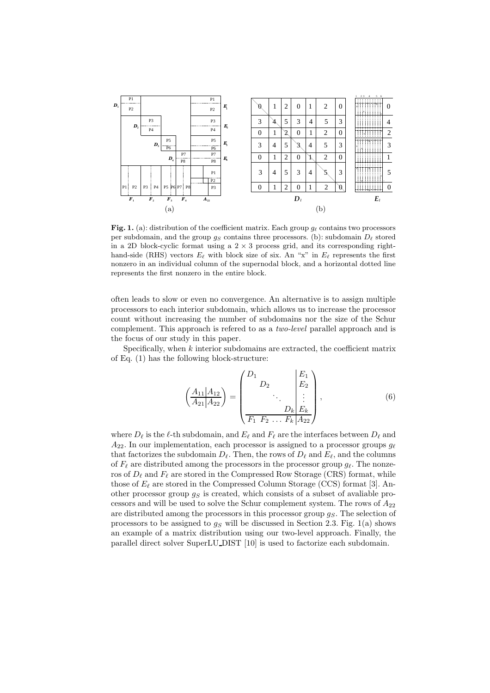

Fig. 1. (a): distribution of the coefficient matrix. Each group  $g_{\ell}$  contains two processors per subdomain, and the group  $g_S$  contains three processors. (b): subdomain  $D_{\ell}$  stored in a 2D block-cyclic format using a  $2 \times 3$  process grid, and its corresponding righthand-side (RHS) vectors  $E_{\ell}$  with block size of six. An "x" in  $E_{\ell}$  represents the first nonzero in an individual column of the supernodal block, and a horizontal dotted line represents the first nonzero in the entire block.

often leads to slow or even no convergence. An alternative is to assign multiple processors to each interior subdomain, which allows us to increase the processor count without increasing the number of subdomains nor the size of the Schur complement. This approach is refered to as a two-level parallel approach and is the focus of our study in this paper.

Specifically, when  $k$  interior subdomains are extracted, the coefficient matrix of Eq. (1) has the following block-structure:

$$
\left(\frac{A_{11}|A_{12}}{A_{21}|A_{22}}\right) = \left(\begin{array}{c} D_1 & & E_1 \\ D_2 & & \vdots \\ \vdots & \ddots & \vdots \\ D_k & E_k \\ \hline F_1 & F_2 & \dots & F_k & A_{22} \end{array}\right),\tag{6}
$$

where  $D_{\ell}$  is the  $\ell$ -th subdomain, and  $E_{\ell}$  and  $F_{\ell}$  are the interfaces between  $D_{\ell}$  and  $A_{22}$ . In our implementation, each processor is assigned to a processor groups  $g_{\ell}$ that factorizes the subdomain  $D_{\ell}$ . Then, the rows of  $D_{\ell}$  and  $E_{\ell}$ , and the columns of  $F_\ell$  are distributed among the processors in the processor group  $g_\ell$ . The nonzeros of  $D_{\ell}$  and  $F_{\ell}$  are stored in the Compressed Row Storage (CRS) format, while those of  $E_{\ell}$  are stored in the Compressed Column Storage (CCS) format [3]. Another processor group  $q<sub>S</sub>$  is created, which consists of a subset of avaliable processors and will be used to solve the Schur complement system. The rows of  $A_{22}$ are distributed among the processors in this processor group  $g_S$ . The selection of processors to be assigned to  $g<sub>S</sub>$  will be discussed in Section 2.3. Fig. 1(a) shows an example of a matrix distribution using our two-level approach. Finally, the parallel direct solver SuperLU DIST [10] is used to factorize each subdomain.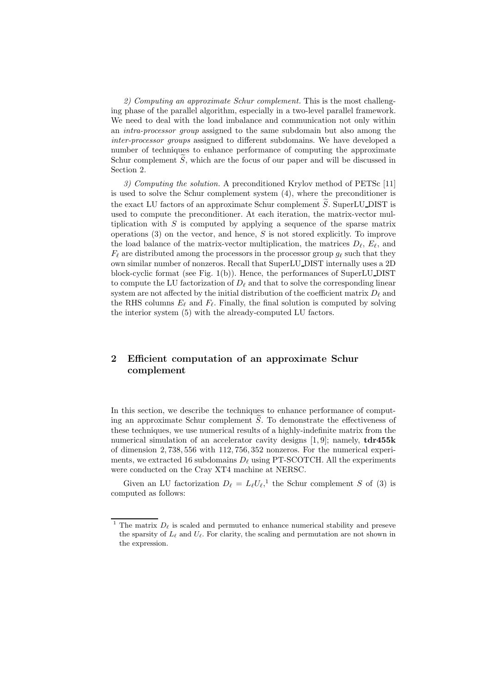2) Computing an approximate Schur complement. This is the most challenging phase of the parallel algorithm, especially in a two-level parallel framework. We need to deal with the load imbalance and communication not only within an intra-processor group assigned to the same subdomain but also among the inter-processor groups assigned to different subdomains. We have developed a number of techniques to enhance performance of computing the approximate Schur complement  $S$ , which are the focus of our paper and will be discussed in Section 2.

3) Computing the solution. A preconditioned Krylov method of PETSc [11] is used to solve the Schur complement system (4), where the preconditioner is the exact LU factors of an approximate Schur complement  $\widetilde{S}$ . SuperLU DIST is used to compute the preconditioner. At each iteration, the matrix-vector multiplication with  $S$  is computed by applying a sequence of the sparse matrix operations  $(3)$  on the vector, and hence, S is not stored explicitly. To improve the load balance of the matrix-vector multiplication, the matrices  $D_{\ell}$ ,  $E_{\ell}$ , and  $F_{\ell}$  are distributed among the processors in the processor group  $g_{\ell}$  such that they own similar number of nonzeros. Recall that SuperLU DIST internally uses a 2D block-cyclic format (see Fig. 1(b)). Hence, the performances of SuperLU DIST to compute the LU factorization of  $D_{\ell}$  and that to solve the corresponding linear system are not affected by the initial distribution of the coefficient matrix  $D_{\ell}$  and the RHS columns  $E_{\ell}$  and  $F_{\ell}$ . Finally, the final solution is computed by solving the interior system (5) with the already-computed LU factors.

# 2 Efficient computation of an approximate Schur complement

In this section, we describe the techniques to enhance performance of computing an approximate Schur complement  $S$ . To demonstrate the effectiveness of these techniques, we use numerical results of a highly-indefinite matrix from the numerical simulation of an accelerator cavity designs [1,9]; namely,  $tdr455k$ of dimension 2, 738, 556 with 112, 756, 352 nonzeros. For the numerical experiments, we extracted 16 subdomains  $D_{\ell}$  using PT-SCOTCH. All the experiments were conducted on the Cray XT4 machine at NERSC.

Given an LU factorization  $D_{\ell} = L_{\ell} U_{\ell}$ ,<sup>1</sup> the Schur complement S of (3) is computed as follows:

<sup>&</sup>lt;sup>1</sup> The matrix  $D_{\ell}$  is scaled and permuted to enhance numerical stability and preseve the sparsity of  $L_{\ell}$  and  $U_{\ell}$ . For clarity, the scaling and permutation are not shown in the expression.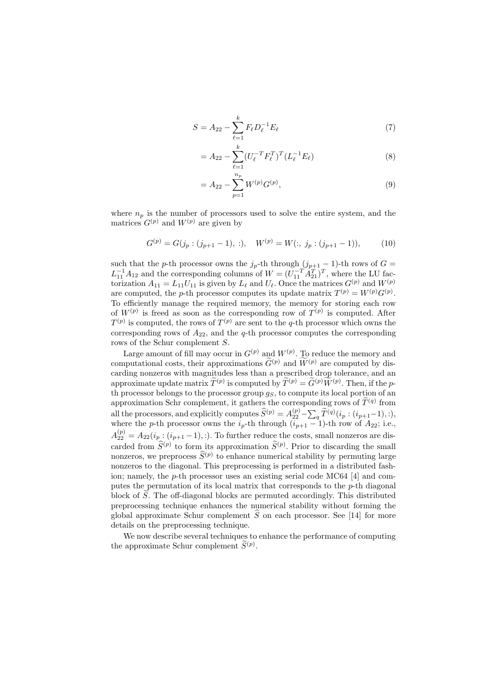$$
S = A_{22} - \sum_{\ell=1}^{k} F_{\ell} D_{\ell}^{-1} E_{\ell}
$$
 (7)

$$
= A_{22} - \sum_{\ell=1}^{k} (U_{\ell}^{-T} F_{\ell}^{T})^{T} (L_{\ell}^{-1} E_{\ell})
$$
\n(8)

$$
= A_{22} - \sum_{p=1}^{n_p} W^{(p)} G^{(p)},
$$
\n(9)

where  $n_p$  is the number of processors used to solve the entire system, and the matrices  $G^{(p)}$  and  $W^{(p)}$  are given by

$$
G^{(p)} = G(j_p : (j_{p+1} - 1), :), \quad W^{(p)} = W(:, j_p : (j_{p+1} - 1)), \tag{10}
$$

such that the p-th processor owns the  $j_p$ -th through  $(j_{p+1} - 1)$ -th rows of  $G =$  $L_{11}^{-1}A_{12}$  and the corresponding columns of  $W = (U_{11}^{-T}A_{21}^{T})^T$ , where the LU factorization  $A_{11} = L_{11}U_{11}$  is given by  $L_{\ell}$  and  $U_{\ell}$ . Once the matrices  $G^{(p)}$  and  $W^{(p)}$ are computed, the *p*-th processor computes its update matrix  $T^{(p)} = W^{(p)}G^{(p)}$ . To efficiently manage the required memory, the memory for storing each row of  $W^{(p)}$  is freed as soon as the corresponding row of  $T^{(p)}$  is computed. After  $T^{(p)}$  is computed, the rows of  $T^{(p)}$  are sent to the q-th processor which owns the corresponding rows of  $A_{22}$ , and the  $q$ -th processor computes the corresponding rows of the Schur complement S.

Large amount of fill may occur in  $G^{(p)}$  and  $W^{(p)}$ . To reduce the memory and computational costs, their approximations  $\widetilde{G}^{(p)}$  and  $\widetilde{W}^{(p)}$  are computed by discarding nonzeros with magnitudes less than a prescribed drop tolerance, and an approximate update matrix  $\tilde{T}^{(p)}$  is computed by  $\tilde{T}^{(p)} = \tilde{G}^{(p)} \tilde{W}^{(p)}$ . Then, if the pth processor belongs to the processor group  $g_S$ , to compute its local portion of an approximation Schr complement, it gathers the corresponding rows of  $\widetilde{T}^{(q)}$  from all the processors, and explicitly computes  $\widehat{S}^{(p)} = A_{22}^{(p)} - \sum_q \widetilde{T}^{(q)}(i_p : (i_{p+1}-1), :),$ where the p-th processor owns the  $i_p$ -th through  $(i_{p+1}-1)$ -th row of  $A_{22}$ ; i.e.,  $A_{22}^{(p)} = A_{22}(i_p : (i_{p+1}-1), :)$ . To further reduce the costs, small nonzeros are discarded from  $\widehat{S}^{(p)}$  to form its approximation  $\widetilde{S}^{(p)}$ . Prior to discarding the small nonzeros, we preprocess  $\widehat{S}^{(p)}$  to enhance numerical stability by permuting large nonzeros to the diagonal. This preprocessing is performed in a distributed fashion; namely, the p-th processor uses an existing serial code MC64 [4] and computes the permutation of its local matrix that corresponds to the p-th diagonal block of  $S$ . The off-diagonal blocks are permuted accordingly. This distributed preprocessing technique enhances the numerical stability without forming the global approximate Schur complement  $S$  on each processor. See [14] for more details on the preprocessing technique.

We now describe several techniques to enhance the performance of computing the approximate Schur complement  $\widetilde{S}^{(p)}$ .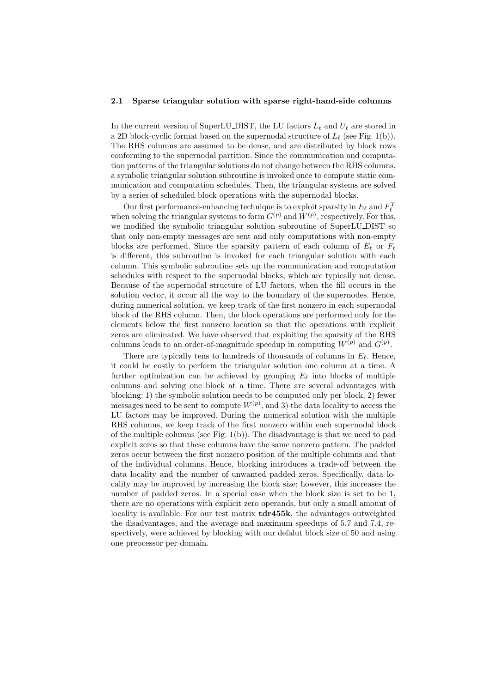#### 2.1 Sparse triangular solution with sparse right-hand-side columns

In the current version of SuperLU DIST, the LU factors  $L_{\ell}$  and  $U_{\ell}$  are stored in a 2D block-cyclic format based on the supernodal structure of  $L_{\ell}$  (see Fig. 1(b)). The RHS columns are assumed to be dense, and are distributed by block rows conforming to the supernodal partition. Since the communication and computation patterns of the triangular solutions do not change between the RHS columns, a symbolic triangular solution subroutine is invoked once to compute static communication and computation schedules. Then, the triangular systems are solved by a series of scheduled block operations with the supernodal blocks.

Our first performance-enhancing technique is to exploit sparsity in  $E_{\ell}$  and  $F_{\ell}^{T}$ when solving the triangular systems to form  $G^{(p)}$  and  $W^{(p)}$ , respectively. For this, we modified the symbolic triangular solution subroutine of SuperLU\_DIST so that only non-empty messages are sent and only computations with non-empty blocks are performed. Since the sparsity pattern of each column of  $E_{\ell}$  or  $F_{\ell}$ is different, this subroutine is invoked for each triangular solution with each column. This symbolic subroutine sets up the communication and computation schedules with respect to the supernodal blocks, which are typically not dense. Because of the supernodal structure of LU factors, when the fill occurs in the solution vector, it occur all the way to the boundary of the supernodes. Hence, during numerical solution, we keep track of the first nonzero in each supernodal block of the RHS column. Then, the block operations are performed only for the elements below the first nonzero location so that the operations with explicit zeros are eliminated. We have observed that exploiting the sparsity of the RHS columns leads to an order-of-magnitude speedup in computing  $W^{(p)}$  and  $G^{(p)}$ .

There are typically tens to hundreds of thousands of columns in  $E_{\ell}$ . Hence, it could be costly to perform the triangular solution one column at a time. A further optimization can be achieved by grouping  $E_{\ell}$  into blocks of multiple columns and solving one block at a time. There are several advantages with blocking: 1) the symbolic solution needs to be computed only per block, 2) fewer messages need to be sent to compute  $W^{(p)}$ , and 3) the data locality to access the LU factors may be improved. During the numerical solution with the multiple RHS columns, we keep track of the first nonzero within each supernodal block of the multiple columns (see Fig.  $1(b)$ ). The disadvantage is that we need to pad explicit zeros so that these columns have the same nonzero pattern. The padded zeros occur between the first nonzero position of the multiple columns and that of the individual columns. Hence, blocking introduces a trade-off between the data locality and the number of unwanted padded zeros. Specifically, data locality may be improved by increasing the block size; however, this increases the number of padded zeros. In a special case when the block size is set to be 1, there are no operations with explicit zero operands, but only a small amount of locality is available. For our test matrix **tdr455k**, the advantages outweighted the disadvantages, and the average and maximum speedups of 5.7 and 7.4, respectively, were achieved by blocking with our defalut block size of 50 and using one preocessor per domain.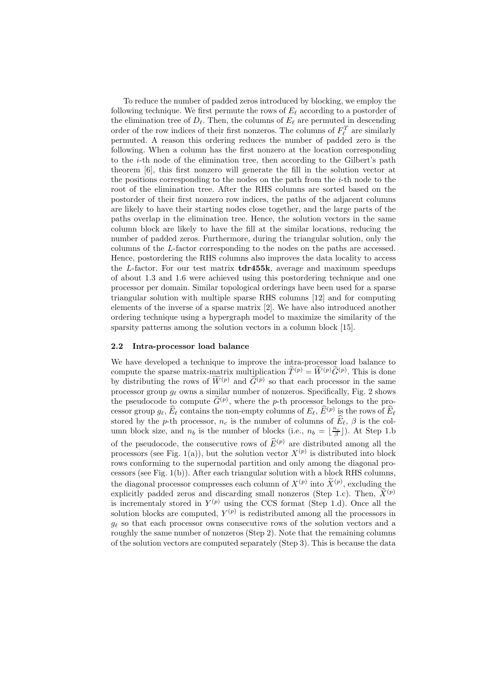To reduce the number of padded zeros introduced by blocking, we employ the following technique. We first permute the rows of  $E_{\ell}$  according to a postorder of the elimination tree of  $D_{\ell}$ . Then, the columns of  $E_{\ell}$  are permuted in descending order of the row indices of their first nonzeros. The columns of  $F_{\ell}^{T}$  are similarly permuted. A reason this ordering reduces the number of padded zero is the following. When a column has the first nonzero at the location corresponding to the i-th node of the elimination tree, then according to the Gilbert's path theorem [6], this first nonzero will generate the fill in the solution vector at the positions corresponding to the nodes on the path from the  $i$ -th node to the root of the elimination tree. After the RHS columns are sorted based on the postorder of their first nonzero row indices, the paths of the adjacent columns are likely to have their starting nodes close together, and the large parts of the paths overlap in the elimination tree. Hence, the solution vectors in the same column block are likely to have the fill at the similar locations, reducing the number of padded zeros. Furthermore, during the triangular solution, only the columns of the L-factor corresponding to the nodes on the paths are accessed. Hence, postordering the RHS columns also improves the data locality to access the  $L$ -factor. For our test matrix  $\mathbf{tdr455k}$ , average and maximum speedups of about 1.3 and 1.6 were achieved using this postordering technique and one processor per domain. Similar topological orderings have been used for a sparse triangular solution with multiple sparse RHS columns [12] and for computing elements of the inverse of a sparse matrix [2]. We have also introduced another ordering technique using a hypergraph model to maximize the similarity of the sparsity patterns among the solution vectors in a column block [15].

#### 2.2 Intra-processor load balance

We have developed a technique to improve the intra-processor load balance to compute the sparse matrix-matrix multiplication  $\widetilde{T}^{(p)} = \widetilde{W}^{(p)} \widetilde{G}^{(p)}$ . This is done by distributing the rows of  $\tilde{W}^{(p)}$  and  $\tilde{G}^{(p)}$  so that each processor in the same processor group  $g_{\ell}$  owns a similar number of nonzeros. Specifically, Fig. 2 shows the pseudocode to compute  $\tilde{G}^{(p)}$ , where the p-th processor belongs to the processor group  $g_{\ell}, \hat{E}_{\ell}$  contains the non-empty columns of  $E_{\ell}, \hat{E}^{(p)}$  is the rows of  $\hat{E}_{\ell}$ stored by the p-th processor,  $n_c$  is the number of columns of  $\widehat{E}_\ell$ ,  $\beta$  is the column block size, and  $n_b$  is the number of blocks (i.e.,  $n_b = \lfloor \frac{n_c}{\beta} \rfloor$ ). At Step 1.b of the pseudocode, the consecutive rows of  $\widehat{E}^{(p)}$  are distributed among all the processors (see Fig. 1(a)), but the solution vector  $X^{(p)}$  is distributed into block rows conforming to the supernodal partition and only among the diagonal processors (see Fig.  $1(b)$ ). After each triangular solution with a block RHS columns, the diagonal processor compresses each column of  $X^{(p)}$  into  $\widetilde{X}^{(p)}$ , excluding the explicitly padded zeros and discarding small nonzeros (Step 1.c). Then,  $\widetilde{X}^{(p)}$ is incrementaly stored in  $Y^{(p)}$  using the CCS format (Step 1.d). Once all the solution blocks are computed,  $Y^{(p)}$  is redistributed among all the processors in  $q_{\ell}$  so that each processor owns consecutive rows of the solution vectors and a roughly the same number of nonzeros (Step 2). Note that the remaining columns of the solution vectors are computed separately (Step 3). This is because the data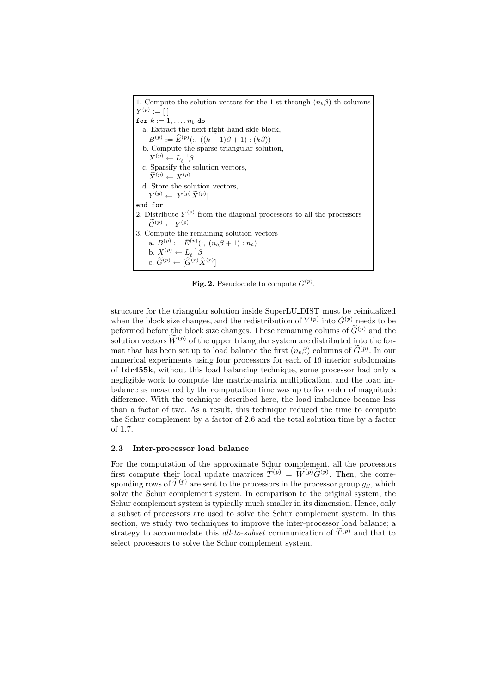1. Compute the solution vectors for the 1-st through  $(n_b \beta)$ -th columns  $Y^{(p)} := [$ for  $k := 1, \ldots, n_b$  do a. Extract the next right-hand-side block,  $B^{(p)} := \widehat{E}^{(p)}(:, ((k-1)\beta+1) : (k\beta))$ b. Compute the sparse triangular solution,  $X^{(p)} \leftarrow L_{\ell}^{-1} \beta$ c. Sparsify the solution vectors,  $\widetilde{X}^{(p)} \leftarrow X^{(p)}$ d. Store the solution vectors,  $Y^{(p)} \leftarrow [Y^{(p)}\widetilde{X}^{(p)}]$ end for 2. Distribute  $Y^{(p)}$  from the diagonal processors to all the processors  $\widetilde{G}^{(p)} \leftarrow Y^{(p)}$ 3. Compute the remaining solution vectors a.  $B^{(p)} := \bar{E}^{(p)}(:, (n_b \beta + 1) : n_c)$ b.  $X^{(p)} \leftarrow L_{\ell}^{-1} \beta$ <br>c.  $\widetilde{G}^{(p)} \leftarrow [\widetilde{G}^{(p)} \widetilde{X}^{(p)}]$ 

Fig. 2. Pseudocode to compute  $G^{(p)}$ .

structure for the triangular solution inside SuperLU DIST must be reinitialized when the block size changes, and the redistribution of  $Y^{(p)}$  into  $\widetilde{G}^{(p)}$  needs to be peformed before the block size changes. These remaining colums of  $\widetilde{G}^{(p)}$  and the solution vectors  $\widetilde{W}^{(p)}$  of the upper triangular system are distributed into the format that has been set up to load balance the first  $(n_b \beta)$  columns of  $\tilde{G}^{(p)}$ . In our numerical experiments using four processors for each of 16 interior subdomains of tdr455k, without this load balancing technique, some processor had only a negligible work to compute the matrix-matrix multiplication, and the load imbalance as measured by the computation time was up to five order of magnitude difference. With the technique described here, the load imbalance became less than a factor of two. As a result, this technique reduced the time to compute the Schur complement by a factor of 2.6 and the total solution time by a factor of 1.7.

#### 2.3 Inter-processor load balance

For the computation of the approximate Schur complement, all the processors first compute their local update matrices  $\widetilde{T}^{(p)} = \widetilde{W}^{(p)} \widetilde{G}^{(p)}$ . Then, the corresponding rows of  $\widetilde{T}^{(p)}$  are sent to the processors in the processor group  $q_S$ , which solve the Schur complement system. In comparison to the original system, the Schur complement system is typically much smaller in its dimension. Hence, only a subset of processors are used to solve the Schur complement system. In this section, we study two techniques to improve the inter-processor load balance; a strategy to accommodate this all-to-subset communication of  $\tilde{T}^{(p)}$  and that to select processors to solve the Schur complement system.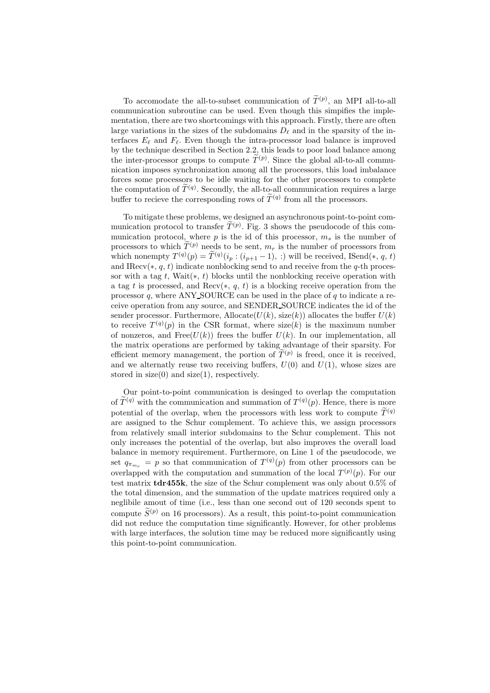To accomodate the all-to-subset communication of  $\tilde{T}^{(p)}$ , an MPI all-to-all communication subroutine can be used. Even though this simpifies the implementation, there are two shortcomings with this approach. Firstly, there are often large variations in the sizes of the subdomains  $D_{\ell}$  and in the sparsity of the interfaces  $E_\ell$  and  $F_\ell$ . Even though the intra-processor load balance is improved by the technique described in Section 2.2, this leads to poor load balance among the inter-processor groups to compute  $T^{(p)}$ . Since the global all-to-all communication imposes synchronization among all the processors, this load imbalance forces some processors to be idle waiting for the other processors to complete the computation of  $\widetilde{T}^{(q)}$ . Secondly, the all-to-all communication requires a large buffer to recieve the corresponding rows of  $\tilde{T}^{(q)}$  from all the processors.

To mitigate these problems, we designed an asynchronous point-to-point communication protocol to transfer  $T^{(p)}$ . Fig. 3 shows the pseudocode of this communication protocol, where  $p$  is the id of this processor,  $m<sub>s</sub>$  is the number of processors to which  $\tilde{T}^{(p)}$  needs to be sent,  $m_r$  is the number of processors from which nonempty  $T^{(q)}(p) = \tilde{T}^{(q)}(i_p : (i_{p+1} - 1), :)$  will be received, ISend(\*, q, t) and IRecv(\*, q, t) indicate nonblocking send to and receive from the q-th processor with a tag t, Wait $(*, t)$  blocks until the nonblocking receive operation with a tag t is processed, and Recv( $*, g, t$ ) is a blocking receive operation from the processor  $q$ , where ANY SOURCE can be used in the place of  $q$  to indicate a receive operation from any source, and SENDER SOURCE indicates the id of the sender processor. Furthermore, Allocate $(U(k), \text{size}(k))$  allocates the buffer  $U(k)$ to receive  $T^{(q)}(p)$  in the CSR format, where size(k) is the maximum number of nonzeros, and Free $(U(k))$  frees the buffer  $U(k)$ . In our implementation, all the matrix operations are performed by taking advantage of their sparsity. For efficient memory management, the portion of  $\tilde{T}^{(p)}$  is freed, once it is received, and we alternatly reuse two receiving buffers,  $U(0)$  and  $U(1)$ , whose sizes are stored in  $size(0)$  and  $size(1)$ , respectively.

Our point-to-point communication is desinged to overlap the computation of  $\widetilde{T}^{(q)}$  with the communication and summation of  $T^{(q)}(p)$ . Hence, there is more potential of the overlap, when the processors with less work to compute  $\widetilde{T}^{(q)}$ are assigned to the Schur complement. To achieve this, we assign processors from relatively small interior subdomains to the Schur complement. This not only increases the potential of the overlap, but also improves the overall load balance in memory requirement. Furthermore, on Line 1 of the pseudocode, we set  $q_{\pi_{m_r}} = p$  so that communication of  $T^{(q)}(p)$  from other processors can be overlapped with the computation and summation of the local  $T^{(p)}(p)$ . For our test matrix tdr455k, the size of the Schur complement was only about 0.5% of the total dimension, and the summation of the update matrices required only a neglibile amout of time (i.e., less than one second out of 120 seconds spent to compute  $\widetilde{S}^{(p)}$  on 16 processors). As a result, this point-to-point communication did not reduce the computation time significantly. However, for other problems with large interfaces, the solution time may be reduced more significantly using this point-to-point communication.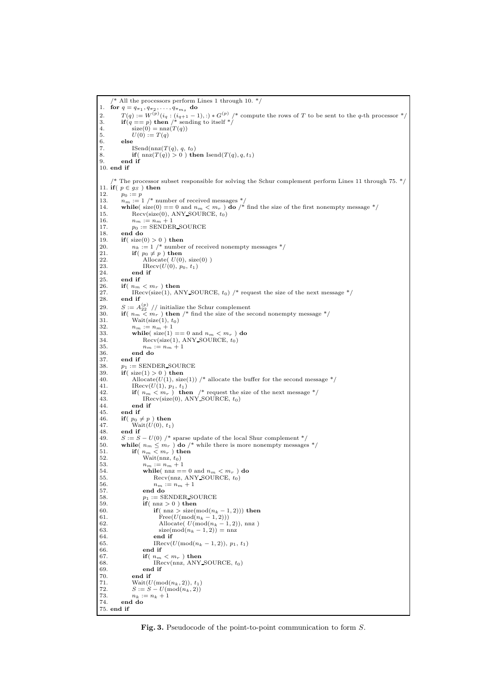```
/* All the processors perform Lines 1 through 10. */
1. for q = q_{\pi_1}, q_{\pi_2}, \ldots, q_{\pi_{m_s}} do
2. T(q) := W^{(p)}(i_q : (i_{q+1} - 1), :) * G^{(p)}/* compute the rows of T to be sent to the q-th processor */<br>3. if (q == p) then /* sending to itself */
4. \sec(0) = \text{nnz}(T(q))5. U(0) := T(q)<br>
6. else<br>
7. ISend(nnz(T)
          else
7. ISend(nnz(T(q), q, t<sub>0</sub>)<br>8. if(nnz(T(q)) > 0) th
8. if (\text{nnz}(T(q)) > 0) then Isend(T(q), q, t_1)<br>9. end if
          9. end if
10. end if
         The processor subset responsible for solving the Schur complement perform Lines 11 through 75. */11. if (p \in g_S) then<br>12. p_0 := p12. p_0 := p<br>13. n_m := 113. n_m := 1 /* number of received messages */<br>14. while( size(0) == 0 and n_m < m_r ) do /* find the size of the first nonempty message */
15. Recv(size(0), ANY_SOURCE, t_0)<br>16. n_m := n_m + 116. n_m := n_m + 117. p_0 := \text{SENDER SOURCE}18. end do<br>19. if (size)
19. if (size(0) > 0) then<br>20. n_k := 1 \nmid^* number
20. n_k := 1 \nmid^* number of received nonempty messages */<br>21 if (n_0 \neq n) then
21. if (p_0 \neq p) then<br>22 Allocate II(0)
22. Allocate( U(0), size(0) )<br>23. Recv(U(0), p_0, t_1)
23. IRecv(U(0), p_0, t_1)<br>24. end if
24. \qquad \qquad \textbf{end if} 25. \qquad \textbf{end if}25. end if<br>26. if \binom{n_m}{m}26. if \left( n_m < m_r \right) then<br>27. IRecy (size (1), Al
27. IRecv(size(1), ANY_SOURCE, t_0) /* request the size of the next message */<br>28. end if
          end if
29. S := A_{22}^{(p)} / / initialize the Schur complement<br>30. if \left(n_m < m_r \right) then /* find the size of the second nonempty message */
30. if(n_m \stackrel{\text{d}}{<} m_r) then<br>31. Wait(size(1), t_0)<br>32 n_m := n_m + 132. n_m := n_m + 1<br>33. while( size(1) == 0 and n_m < m_r ) do
34. Recv(size(1), ANY SOURCE, t_0)
35. n_m := n_m + 1<br>36. end do
36. end do
37. end if<br>38. n_1 := S38. p_1 := \text{SENDER-SOURCE}<br>39. if(size(1) > 0) then
39. if (\text{size}(1) > 0) then<br>40. Allocate (U(1), \text{size})40. Allocate(U(1), size(1)) /* allocate the buffer for the second message */<br>41. Hecv(U(1), p_1, t_1)
41. IRecv(U(1), p_1, t_1)<br>
42. if (n_m < m_r) then /* request the size of the next message */
43. IRecv(size(0), ANY_SOURCE, t_0)
44. end if \begin{array}{c} 44. \\ 45 \end{array} end if
45. end if<br>46. if (p_0 =46. if (p_0 \neq p) then<br>47. Wait(U(0), t_1)47. Wai<br>48. end if<br>49. S := S49. S := S - U(0) /* sparse update of the local Shur complement */<br>50. while (n_m \leq m_r) do /* while there is more nonempty messages */
51. if (n_m < m_r) then
52. Wait(\text{nnz}, t_0)53. n_m := n_m + 1<br>54. while( nn ==
54. while( \text{nnz} == 0 and n_m < m_r ) do
55. \text{Recv}(nnz, \text{ANY\_SOURCE}, t_0)56. n_m := n_m + 1<br>57. end do
                     57. end do
58. p_1 := \text{SENDER}\text{SOURCE}<br>59. if(\text{nnz} > 0) then
59. if (mnz > 0) then
60. if ( nnz > size(mod(n_k - 1, 2))) then
61. Free(U(\text{mod}(n_k-1, 2)))<br>62. Allocate(U(\text{mod}(n_k-1, 2))62. Allocate( U(\text{mod}(n_k-1, 2)), nnz)<br>63 size(mod(n<sub>i</sub> - 1, 2)) – nnz
63. size(\text{mod}(n_k - 1, 2)) = \text{nnz}<br>64. end if
64. end if 65. Example 18 EXECU
65. IRecv(U(\text{mod}(n_k - 1, 2)), p_1, t_1)<br>66. end if
66. end if \begin{array}{ccc} 66. & \text{end if} \\ 67. & \text{if} \begin{array}{cc} n_m \end{array} \end{array}67. if \left( n_m < m_r \right) then<br>68 IBecy(nnz ANY
68. IRecv(nnz, ANY SOURCE, t_0)<br>69
                     end if
70. end if 71. Wait(L
71. Wait(U(\text{mod}(n_k, 2)), t_1)<br>
72. S := S - U(\text{mod}(n_k, 2))72. S := S - U(\text{mod}(n_k, 2))<br>
73. n_k := n_k + 173. n_k := n_k + 1<br>74. end do
          74. end do
75. end if
```
Fig. 3. Pseudocode of the point-to-point communication to form S.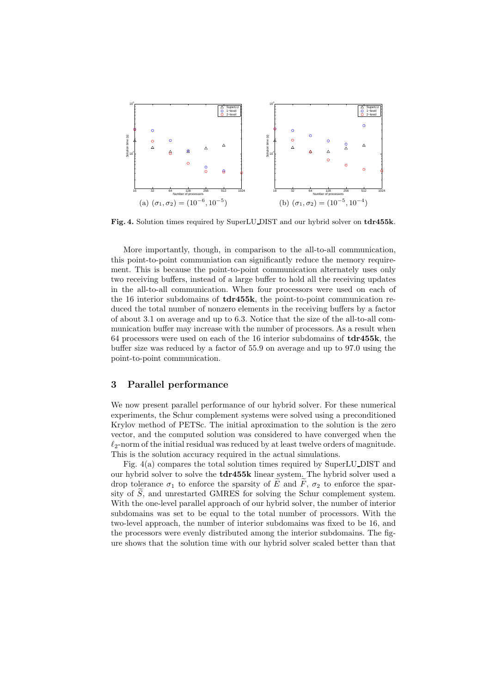

Fig. 4. Solution times required by SuperLU DIST and our hybrid solver on tdr455k.

More importantly, though, in comparison to the all-to-all communication, this point-to-point communiation can significantly reduce the memory requirement. This is because the point-to-point communication alternately uses only two receiving buffers, instead of a large buffer to hold all the receiving updates in the all-to-all communication. When four processors were used on each of the 16 interior subdomains of  $tdr455k$ , the point-to-point communication reduced the total number of nonzero elements in the receiving buffers by a factor of about 3.1 on average and up to 6.3. Notice that the size of the all-to-all communication buffer may increase with the number of processors. As a result when 64 processors were used on each of the 16 interior subdomains of tdr455k, the buffer size was reduced by a factor of 55.9 on average and up to 97.0 using the point-to-point communication.

## 3 Parallel performance

We now present parallel performance of our hybrid solver. For these numerical experiments, the Schur complement systems were solved using a preconditioned Krylov method of PETSc. The initial aproximation to the solution is the zero vector, and the computed solution was considered to have converged when the  $\ell_2$ -norm of the initial residual was reduced by at least twelve orders of magnitude. This is the solution accuracy required in the actual simulations.

Fig. 4(a) compares the total solution times required by SuperLU DIST and our hybrid solver to solve the tdr455k linear system. The hybrid solver used a drop tolerance  $\sigma_1$  to enforce the sparsity of  $\widetilde{E}$  and  $\widetilde{F}$ ,  $\sigma_2$  to enforce the sparsity of  $\tilde{S}$ , and unrestarted GMRES for solving the Schur complement system. With the one-level parallel approach of our hybrid solver, the number of interior subdomains was set to be equal to the total number of processors. With the two-level approach, the number of interior subdomains was fixed to be 16, and the processors were evenly distributed among the interior subdomains. The figure shows that the solution time with our hybrid solver scaled better than that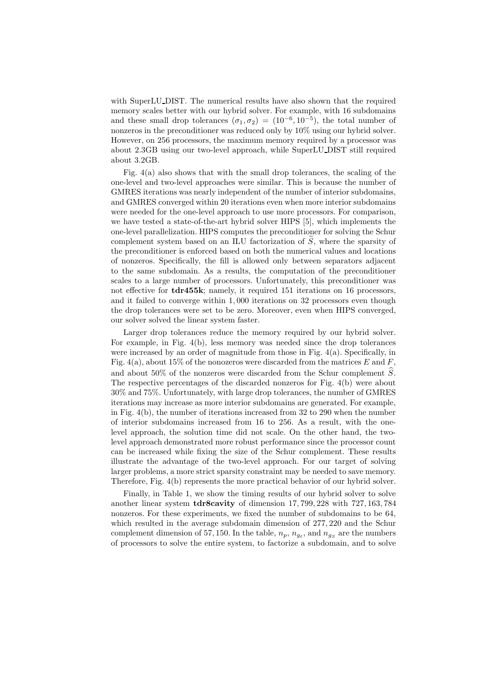with SuperLU DIST. The numerical results have also shown that the required memory scales better with our hybrid solver. For example, with 16 subdomains and these small drop tolerances  $(\sigma_1, \sigma_2) = (10^{-6}, 10^{-5})$ , the total number of nonzeros in the preconditioner was reduced only by 10% using our hybrid solver. However, on 256 processors, the maximum memory required by a processor was about 2.3GB using our two-level approach, while SuperLU DIST still required about 3.2GB.

Fig. 4(a) also shows that with the small drop tolerances, the scaling of the one-level and two-level approaches were similar. This is because the number of GMRES iterations was nearly independent of the number of interior subdomains, and GMRES converged within 20 iterations even when more interior subdomains were needed for the one-level approach to use more processors. For comparison, we have tested a state-of-the-art hybrid solver HIPS [5], which implements the one-level parallelization. HIPS computes the preconditioner for solving the Schur complement system based on an ILU factorization of  $\tilde{S}$ , where the sparsity of the preconditioner is enforced based on both the numerical values and locations of nonzeros. Specifically, the fill is allowed only between separators adjacent to the same subdomain. As a results, the computation of the preconditioner scales to a large number of processors. Unfortunately, this preconditioner was not effective for **tdr455k**; namely, it required 151 iterations on 16 processors, and it failed to converge within 1, 000 iterations on 32 processors even though the drop tolerances were set to be zero. Moreover, even when HIPS converged, our solver solved the linear system faster.

Larger drop tolerances reduce the memory required by our hybrid solver. For example, in Fig. 4(b), less memory was needed since the drop tolerances were increased by an order of magnitude from those in Fig.  $4(a)$ . Specifically, in Fig. 4(a), about 15% of the nonozeros were discarded from the matrices E and F, and about 50% of the nonzeros were discarded from the Schur complement  $\widehat{S}$ . The respective percentages of the discarded nonzeros for Fig. 4(b) were about 30% and 75%. Unfortunately, with large drop tolerances, the number of GMRES iterations may increase as more interior subdomains are generated. For example, in Fig. 4(b), the number of iterations increased from 32 to 290 when the number of interior subdomains increased from 16 to 256. As a result, with the onelevel approach, the solution time did not scale. On the other hand, the twolevel approach demonstrated more robust performance since the processor count can be increased while fixing the size of the Schur complement. These results illustrate the advantage of the two-level approach. For our target of solving larger problems, a more strict sparsity constraint may be needed to save memory. Therefore, Fig. 4(b) represents the more practical behavior of our hybrid solver.

Finally, in Table 1, we show the timing results of our hybrid solver to solve another linear system tdr8cavity of dimension 17, 799, 228 with 727, 163, 784 nonzeros. For these experiments, we fixed the number of subdomains to be 64, which resulted in the average subdomain dimension of 277, 220 and the Schur complement dimension of 57, 150. In the table,  $n_p$ ,  $n_{ge}$ , and  $n_{gs}$  are the numbers of processors to solve the entire system, to factorize a subdomain, and to solve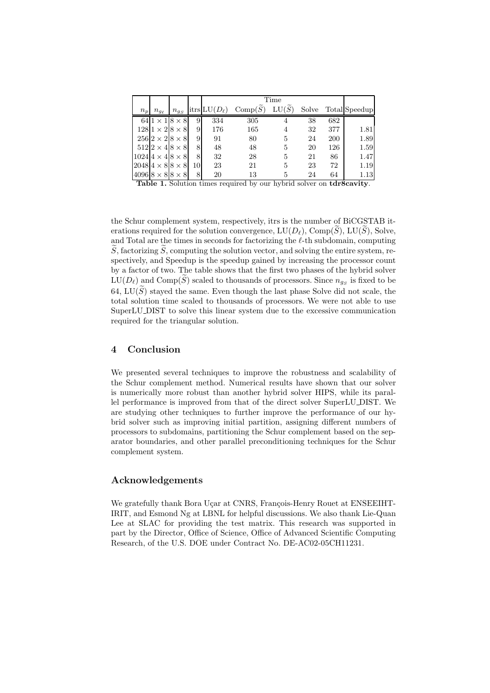|       |                |                                |    | Time                |                       |       |       |     |                      |
|-------|----------------|--------------------------------|----|---------------------|-----------------------|-------|-------|-----|----------------------|
| $n_p$ | $n_{g_{\ell}}$ | $n_{gS}$                       |    | itrs $LU(D_{\ell})$ | $Comp(\widetilde{S})$ | LU(S) | Solve |     | <b>Total</b> Speedup |
|       |                | $641 \times 18 \times 8$       | 9  | 334                 | 305                   | 4     | 38    | 682 |                      |
|       |                | $128 1\times2 8\times8$        | 9  | 176                 | 165                   | 4     | 32    | 377 | 1.81                 |
|       |                | $256 2\times2 8\times8$        | 9  | 91                  | 80                    | 5     | 24    | 200 | 1.89                 |
|       |                | $512 2\times4 8\times8$        | 8  | 48                  | 48                    | 5     | 20    | 126 | 1.59                 |
|       |                | $102414 \times 418 \times 8$   | 8  | 32                  | 28                    | 5     | 21    | 86  | 1.47                 |
|       |                | $ 2048 4 \times 8 8 \times 8$  | 10 | 23                  | 21                    | 5     | 23    | 72  | 1.19                 |
|       |                | $ 4096 8 \times 8 8 \times 8 $ | 8  | 20                  | 13                    |       | 24    | 64  | 1.13                 |

Table 1. Solution times required by our hybrid solver on tdr8cavity.

the Schur complement system, respectively, itrs is the number of BiCGSTAB iterations required for the solution convergence,  $LU(D_{\ell})$ , Comp(S), LU(S), Solve, and Total are the times in seconds for factorizing the  $\ell$ -th subdomain, computing  $\widetilde{S}$ , factorizing  $\widetilde{S}$ , computing the solution vector, and solving the entire system, respectively, and Speedup is the speedup gained by increasing the processor count by a factor of two. The table shows that the first two phases of the hybrid solver  $\mathrm{LU}(D_\ell)$  and  $\mathrm{Comp}(S)$  scaled to thousands of processors. Since  $n_{gs}$  is fixed to be 64, LU( $\widetilde{S}$ ) stayed the same. Even though the last phase Solve did not scale, the total solution time scaled to thousands of processors. We were not able to use SuperLU DIST to solve this linear system due to the excessive communication required for the triangular solution.

# 4 Conclusion

We presented several techniques to improve the robustness and scalability of the Schur complement method. Numerical results have shown that our solver is numerically more robust than another hybrid solver HIPS, while its parallel performance is improved from that of the direct solver SuperLU DIST. We are studying other techniques to further improve the performance of our hybrid solver such as improving initial partition, assigning different numbers of processors to subdomains, partitioning the Schur complement based on the separator boundaries, and other parallel preconditioning techniques for the Schur complement system.

# Acknowledgements

We gratefully thank Bora Uçar at CNRS, François-Henry Rouet at ENSEEIHT-IRIT, and Esmond Ng at LBNL for helpful discussions. We also thank Lie-Quan Lee at SLAC for providing the test matrix. This research was supported in part by the Director, Office of Science, Office of Advanced Scientific Computing Research, of the U.S. DOE under Contract No. DE-AC02-05CH11231.